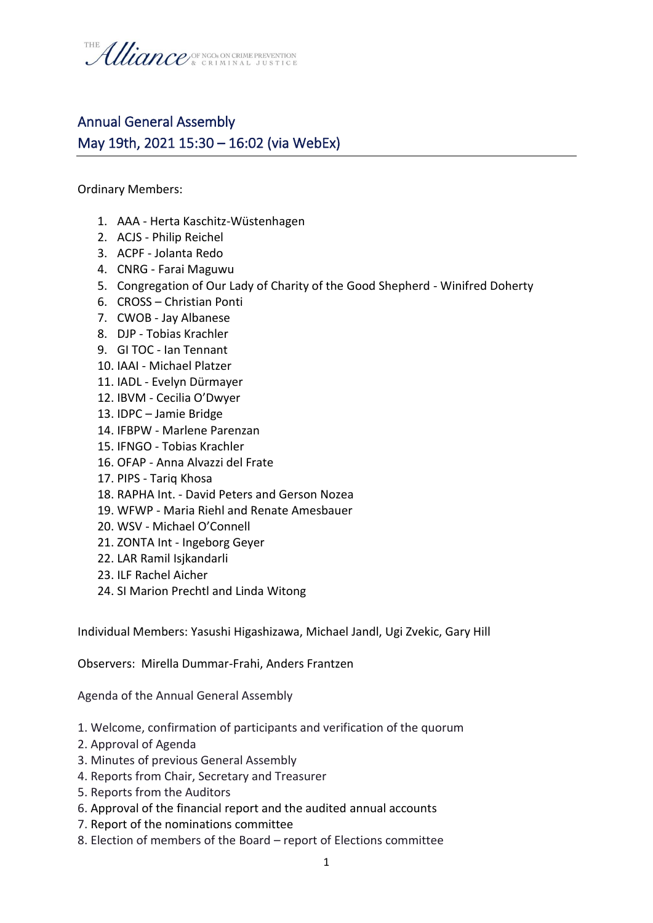

## Annual General Assembly May 19th, 2021 15:30 – 16:02 (via WebEx)

Ordinary Members:

- 1. AAA Herta Kaschitz-Wüstenhagen
- 2. ACJS Philip Reichel
- 3. ACPF Jolanta Redo
- 4. CNRG Farai Maguwu
- 5. Congregation of Our Lady of Charity of the Good Shepherd Winifred Doherty
- 6. CROSS Christian Ponti
- 7. CWOB Jay Albanese
- 8. DJP Tobias Krachler
- 9. GI TOC Ian Tennant
- 10. IAAI Michael Platzer
- 11. IADL Evelyn Dürmayer
- 12. IBVM Cecilia O'Dwyer
- 13. IDPC Jamie Bridge
- 14. IFBPW Marlene Parenzan
- 15. IFNGO Tobias Krachler
- 16. OFAP Anna Alvazzi del Frate
- 17. PIPS Tariq Khosa
- 18. RAPHA Int. David Peters and Gerson Nozea
- 19. WFWP Maria Riehl and Renate Amesbauer
- 20. WSV Michael O'Connell
- 21. ZONTA Int Ingeborg Geyer
- 22. LAR Ramil Isjkandarli
- 23. ILF Rachel Aicher
- 24. SI Marion Prechtl and Linda Witong

Individual Members: Yasushi Higashizawa, Michael Jandl, Ugi Zvekic, Gary Hill

Observers: Mirella Dummar-Frahi, Anders Frantzen

Agenda of the Annual General Assembly

- 1. Welcome, confirmation of participants and verification of the quorum
- 2. Approval of Agenda
- 3. Minutes of previous General Assembly
- 4. Reports from Chair, Secretary and Treasurer
- 5. Reports from the Auditors
- 6. Approval of the financial report and the audited annual accounts
- 7. Report of the nominations committee
- 8. Election of members of the Board report of Elections committee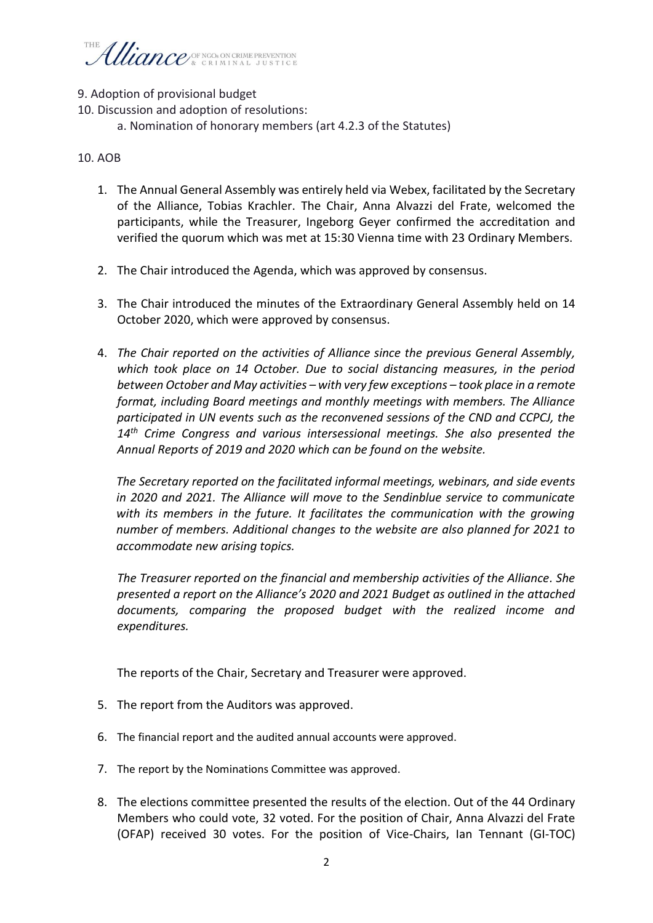## Uliance (SE NGOS ON CRIME PREVENTION

- 9. Adoption of provisional budget
- 10. Discussion and adoption of resolutions:
	- a. Nomination of honorary members (art 4.2.3 of the Statutes)

## 10. AOB

- 1. The Annual General Assembly was entirely held via Webex, facilitated by the Secretary of the Alliance, Tobias Krachler. The Chair, Anna Alvazzi del Frate, welcomed the participants, while the Treasurer, Ingeborg Geyer confirmed the accreditation and verified the quorum which was met at 15:30 Vienna time with 23 Ordinary Members.
- 2. The Chair introduced the Agenda, which was approved by consensus.
- 3. The Chair introduced the minutes of the Extraordinary General Assembly held on 14 October 2020, which were approved by consensus.
- 4. *The Chair reported on the activities of Alliance since the previous General Assembly, which took place on 14 October. Due to social distancing measures, in the period between October and May activities – with very few exceptions – took place in a remote format, including Board meetings and monthly meetings with members. The Alliance participated in UN events such as the reconvened sessions of the CND and CCPCJ, the 14th Crime Congress and various intersessional meetings. She also presented the Annual Reports of 2019 and 2020 which can be found on the website.*

*The Secretary reported on the facilitated informal meetings, webinars, and side events in 2020 and 2021. The Alliance will move to the Sendinblue service to communicate with its members in the future. It facilitates the communication with the growing number of members. Additional changes to the website are also planned for 2021 to accommodate new arising topics.* 

*The Treasurer reported on the financial and membership activities of the Alliance. She presented a report on the Alliance's 2020 and 2021 Budget as outlined in the attached documents, comparing the proposed budget with the realized income and expenditures.*

The reports of the Chair, Secretary and Treasurer were approved.

- 5. The report from the Auditors was approved.
- 6. The financial report and the audited annual accounts were approved.
- 7. The report by the Nominations Committee was approved.
- 8. The elections committee presented the results of the election. Out of the 44 Ordinary Members who could vote, 32 voted. For the position of Chair, Anna Alvazzi del Frate (OFAP) received 30 votes. For the position of Vice-Chairs, Ian Tennant (GI-TOC)